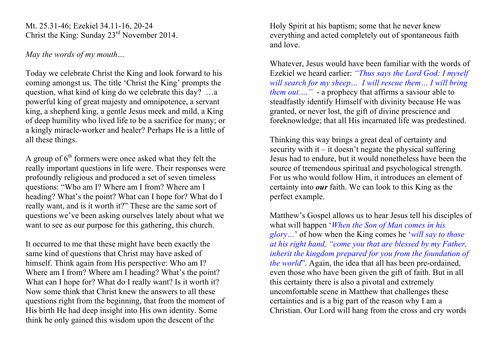Mt. 25.31-46; Ezekiel 34.11-16, 20-24 Christ the King: Sunday 23rd November 2014.

*May the words of my mouth…*

Today we celebrate Christ the King and look forward to his coming amongst us. The title 'Christ the King' prompts the question, what kind of king do we celebrate this day? …a powerful king of great majesty and omnipotence, a servant king, a shepherd king, a gentle Jesus meek and mild, a King of deep humility who lived life to be a sacrifice for many; or a kingly miracle-worker and healer? Perhaps He is a little of all these things.

A group of  $6<sup>th</sup>$  formers were once asked what they felt the really important questions in life were. Their responses were profoundly religious and produced a set of seven timeless questions: "Who am I? Where am I from? Where am I heading? What's the point? What can I hope for? What do I really want, and is it worth it?" These are the same sort of questions we've been asking ourselves lately about what we want to see as our purpose for this gathering, this church.

It occurred to me that these might have been exactly the same kind of questions that Christ may have asked of himself. Think again from His perspective: Who am I? Where am I from? Where am I heading? What's the point? What can I hope for? What do I really want? Is it worth it? Now some think that Christ knew the answers to all these questions right from the beginning, that from the moment of His birth He had deep insight into His own identity. Some think he only gained this wisdom upon the descent of the

Holy Spirit at his baptism; some that he never knew everything and acted completely out of spontaneous faith and love.

Whatever, Jesus would have been familiar with the words of Ezekiel we heard earlier: *"Thus says the Lord God: I myself will search for my sheep… I will rescue them… I will bring them out.…"* - a prophecy that affirms a saviour able to steadfastly identify Himself with divinity because He was granted, or never lost, the gift of divine prescience and foreknowledge; that all His incarnated life was predestined.

Thinking this way brings a great deal of certainty and security with it – it doesn't negate the physical suffering Jesus had to endure, but it would nonetheless have been the source of tremendous spiritual and psychological strength. For us who would follow Him, it introduces an element of certainty into *our* faith. We can look to this King as the perfect example.

Matthew's Gospel allows us to hear Jesus tell his disciples of what will happen '*When the Son of Man comes in his glory…*' of how when the King comes he '*will say to those at his right hand, "come you that are blessed by my Father, inherit the kingdom prepared for you from the foundation of the world*". Again, the idea that all has been pre-ordained, even those who have been given the gift of faith. But in all this certainty there is also a pivotal and extremely uncomfortable scene in Matthew that challenges these certainties and is a big part of the reason why I am a Christian. Our Lord will hang from the cross and cry words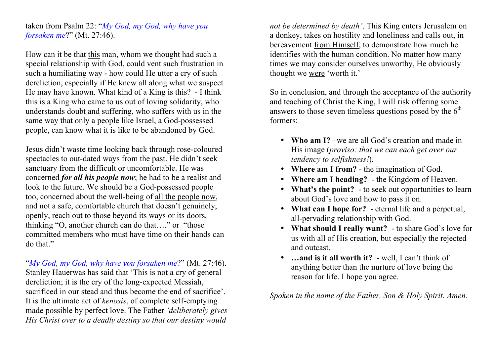taken from Psalm 22: "*My God, my God, why have you forsaken me*?" (Mt. 27:46).

How can it be that this man, whom we thought had such a special relationship with God, could vent such frustration in such a humiliating way - how could He utter a cry of such dereliction, especially if He knew all along what we suspect He may have known. What kind of a King is this? - I think this is a King who came to us out of loving solidarity, who understands doubt and suffering, who suffers with us in the same way that only a people like Israel, a God-possessed people, can know what it is like to be abandoned by God.

Jesus didn't waste time looking back through rose-coloured spectacles to out-dated ways from the past. He didn't seek sanctuary from the difficult or uncomfortable. He was concerned *for all his people now*; he had to be a realist and look to the future. We should be a God-possessed people too, concerned about the well-being of all the people now, and not a safe, comfortable church that doesn't genuinely, openly, reach out to those beyond its ways or its doors, thinking "O, another church can do that…." or "those committed members who must have time on their hands can do that."

"*My God, my God, why have you forsaken me*?" (Mt. 27:46). Stanley Hauerwas has said that 'This is not a cry of general dereliction; it is the cry of the long-expected Messiah, sacrificed in our stead and thus become the end of sacrifice'. It is the ultimate act of *kenosis*, of complete self-emptying made possible by perfect love. The Father *'deliberately gives His Christ over to a deadly destiny so that our destiny would* 

*not be determined by death'*. This King enters Jerusalem on a donkey, takes on hostility and loneliness and calls out, in bereavement from Himself, to demonstrate how much he identifies with the human condition. No matter how many times we may consider ourselves unworthy, He obviously thought we were 'worth it.'

So in conclusion, and through the acceptance of the authority and teaching of Christ the King, I will risk offering some answers to those seven timeless questions posed by the  $6<sup>th</sup>$ formers:

- **Who am I?** –we are all God's creation and made in His image (*proviso: that we can each get over our tendency to selfishness!*).
- **Where am I from?** the imagination of God.
- **Where am I heading?** the Kingdom of Heaven.
- **What's the point?** to seek out opportunities to learn about God's love and how to pass it on.
- **What can I hope for?** eternal life and a perpetual, all-pervading relationship with God.
- **What should I really want?** to share God's love for us with all of His creation, but especially the rejected and outcast.
- **…and is it all worth it?** well, I can't think of anything better than the nurture of love being the reason for life. I hope you agree.

*Spoken in the name of the Father, Son & Holy Spirit. Amen.*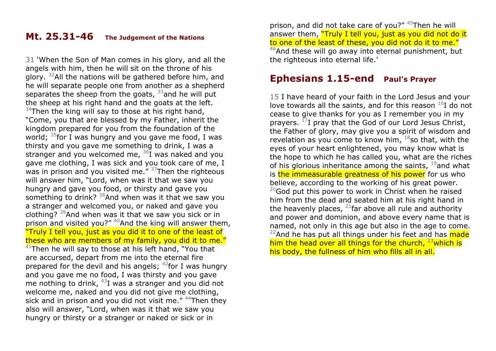## **Mt. 25.31-46 The Judgement of the Nations**

31 'When the Son of Man comes in his glory, and all the angels with him, then he will sit on the throne of his glory. 32All the nations will be gathered before him, and he will separate people one from another as a shepherd separates the sheep from the goats,  $33$  and he will put the sheep at his right hand and the goats at the left.  $34$ Then the king will say to those at his right hand, "Come, you that are blessed by my Father, inherit the kingdom prepared for you from the foundation of the world;  $35$  for I was hungry and you gave me food, I was thirsty and you gave me something to drink, I was a stranger and you welcomed me,  $36I$  was naked and you gave me clothing, I was sick and you took care of me, I was in prison and you visited me."  $37$ Then the righteous will answer him, "Lord, when was it that we saw you hungry and gave you food, or thirsty and gave you something to drink?  $38$ And when was it that we saw you a stranger and welcomed you, or naked and gave you clothing?  $39$ And when was it that we saw you sick or in prison and visited you?"  $40$ And the king will answer them, "Truly I tell you, just as you did it to one of the least of these who are members of my family, you did it to me."

 $41$ Then he will say to those at his left hand, "You that are accursed, depart from me into the eternal fire prepared for the devil and his angels;  $42$  for I was hungry and you gave me no food, I was thirsty and you gave me nothing to drink,  $43I$  was a stranger and you did not welcome me, naked and you did not give me clothing, sick and in prison and you did not visit me." <sup>44</sup>Then they also will answer, "Lord, when was it that we saw you hungry or thirsty or a stranger or naked or sick or in

prison, and did not take care of you?" 45Then he will answer them, "Truly I tell you, just as you did not do it to one of the least of these, you did not do it to me."  $46$ And these will go away into eternal punishment, but the righteous into eternal life.'

## **Ephesians 1.15-end Paul's Prayer**

15 I have heard of your faith in the Lord Jesus and your love towards all the saints, and for this reason  $^{16}$ I do not cease to give thanks for you as I remember you in my prayers.  $^{17}$ I pray that the God of our Lord Jesus Christ, the Father of glory, may give you a spirit of wisdom and revelation as you come to know him,  $18$  so that, with the eyes of your heart enlightened, you may know what is the hope to which he has called you, what are the riches of his glorious inheritance among the saints,  $19$  and what is the immeasurable greatness of his power for us who believe, according to the working of his great power.  $20$ God put this power to work in Christ when he raised him from the dead and seated him at his right hand in the heavenly places,  $^{21}$  far above all rule and authority and power and dominion, and above every name that is named, not only in this age but also in the age to come.  $22$ And he has put all things under his feet and has  $m$ ade him the head over all things for the church,  $23$  which is his body, the fullness of him who fills all in all.